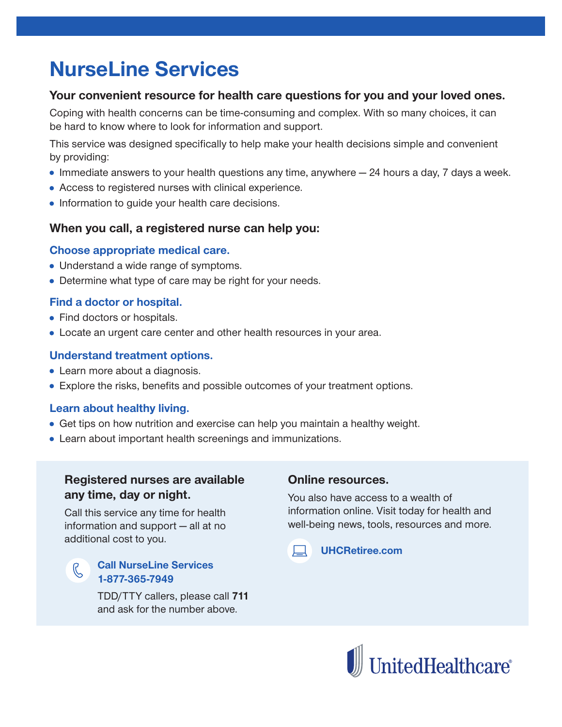## **NurseLine Services**

### Your convenient resource for health care questions for you and your loved ones.

Coping with health concerns can be time-consuming and complex. With so many choices, it can be hard to know where to look for information and support.

This service was designed specifically to help make your health decisions simple and convenient by providing:

- Immediate answers to your health questions any time, anywhere  $-$  24 hours a day, 7 days a week.
- Access to registered nurses with clinical experience.
- Information to guide your health care decisions.

#### When you call, a registered nurse can help you:

#### Choose appropriate medical care.

- Understand a wide range of symptoms.
- Determine what type of care may be right for your needs.

#### Find a doctor or hospital.

- Find doctors or hospitals.
- Locate an urgent care center and other health resources in your area.

#### **Understand treatment options.**

- Learn more about a diagnosis.
- Explore the risks, benefits and possible outcomes of your treatment options.

#### Learn about healthy living.

- Get tips on how nutrition and exercise can help you maintain a healthy weight.
- Learn about important health screenings and immunizations.

### Registered nurses are available any time, day or night.

Call this service any time for health information and support - all at no additional cost to you.

# $\mathcal{K}$

#### **Call NurseLine Services** 1-877-365-7949

TDD/TTY callers, please call 711 and ask for the number above.

#### **Online resources.**

You also have access to a wealth of information online. Visit today for health and well-being news, tools, resources and more.



**UHCRetiree.com**